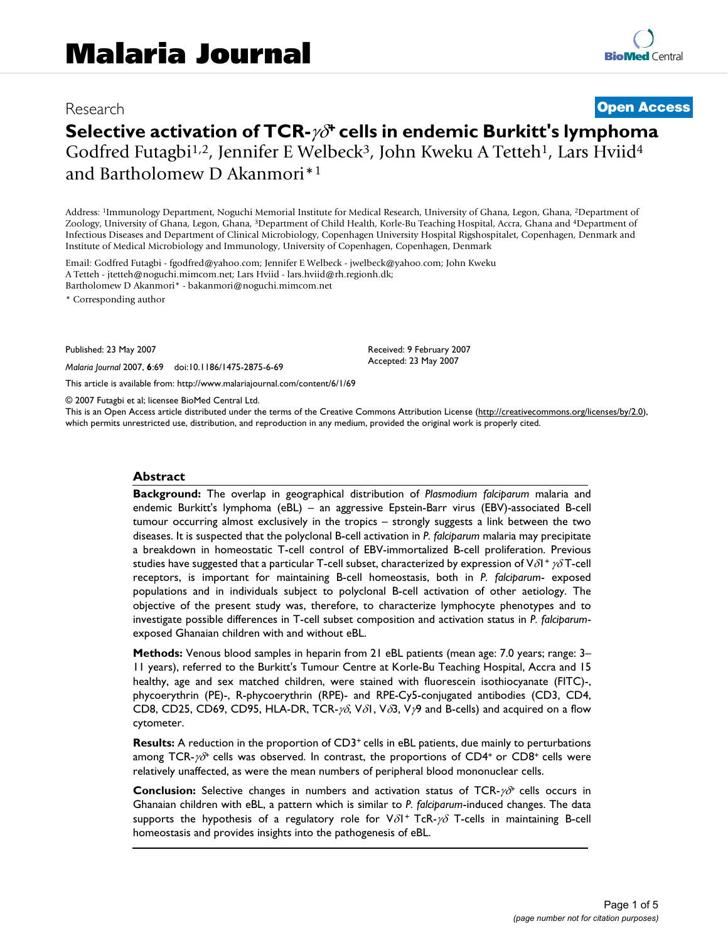# Research **[Open Access](http://www.biomedcentral.com/info/about/charter/)**

# **Selective activation of TCR-**γδ**+ cells in endemic Burkitt's lymphoma** Godfred Futagbi<sup>1,2</sup>, Jennifer E Welbeck<sup>3</sup>, John Kweku A Tetteh<sup>1</sup>, Lars Hviid<sup>4</sup> and Bartholomew D Akanmori\*1

Address: 1Immunology Department, Noguchi Memorial Institute for Medical Research, University of Ghana, Legon, Ghana, 2Department of Zoology, University of Ghana, Legon, Ghana, 3Department of Child Health, Korle-Bu Teaching Hospital, Accra, Ghana and 4Department of Infectious Diseases and Department of Clinical Microbiology, Copenhagen University Hospital Rigshospitalet, Copenhagen, Denmark and Institute of Medical Microbiology and Immunology, University of Copenhagen, Copenhagen, Denmark

Email: Godfred Futagbi - fgodfred@yahoo.com; Jennifer E Welbeck - jwelbeck@yahoo.com; John Kweku A Tetteh - jtetteh@noguchi.mimcom.net; Lars Hviid - lars.hviid@rh.regionh.dk; Bartholomew D Akanmori\* - bakanmori@noguchi.mimcom.net

\* Corresponding author

Published: 23 May 2007

*Malaria Journal* 2007, **6**:69 doi:10.1186/1475-2875-6-69

[This article is available from: http://www.malariajournal.com/content/6/1/69](http://www.malariajournal.com/content/6/1/69)

© 2007 Futagbi et al; licensee BioMed Central Ltd.

This is an Open Access article distributed under the terms of the Creative Commons Attribution License [\(http://creativecommons.org/licenses/by/2.0\)](http://creativecommons.org/licenses/by/2.0), which permits unrestricted use, distribution, and reproduction in any medium, provided the original work is properly cited.

Received: 9 February 2007 Accepted: 23 May 2007

#### **Abstract**

**Background:** The overlap in geographical distribution of *Plasmodium falciparum* malaria and endemic Burkitt's lymphoma (eBL) – an aggressive Epstein-Barr virus (EBV)-associated B-cell tumour occurring almost exclusively in the tropics – strongly suggests a link between the two diseases. It is suspected that the polyclonal B-cell activation in *P. falciparum* malaria may precipitate a breakdown in homeostatic T-cell control of EBV-immortalized B-cell proliferation. Previous studies have suggested that a particular T-cell subset, characterized by expression of V $\delta$ 1+  $\gamma\delta$ T-cell receptors, is important for maintaining B-cell homeostasis, both in *P. falciparum*- exposed populations and in individuals subject to polyclonal B-cell activation of other aetiology. The objective of the present study was, therefore, to characterize lymphocyte phenotypes and to investigate possible differences in T-cell subset composition and activation status in *P. falciparum*exposed Ghanaian children with and without eBL.

**Methods:** Venous blood samples in heparin from 21 eBL patients (mean age: 7.0 years; range: 3– 11 years), referred to the Burkitt's Tumour Centre at Korle-Bu Teaching Hospital, Accra and 15 healthy, age and sex matched children, were stained with fluorescein isothiocyanate (FITC)-, phycoerythrin (PE)-, R-phycoerythrin (RPE)- and RPE-Cy5-conjugated antibodies (CD3, CD4, CD8, CD25, CD69, CD95, HLA-DR, TCR- $\gamma\delta$ , V $\delta$ 1, V $\delta$ 3, V $\gamma$ 9 and B-cells) and acquired on a flow cytometer.

**Results:** A reduction in the proportion of CD3<sup>+</sup> cells in eBL patients, due mainly to perturbations among TCR- $\gamma\delta^+$  cells was observed. In contrast, the proportions of CD4<sup>+</sup> or CD8<sup>+</sup> cells were relatively unaffected, as were the mean numbers of peripheral blood mononuclear cells.

**Conclusion:** Selective changes in numbers and activation status of TCR-*γδ*<sup>+</sup> cells occurs in Ghanaian children with eBL, a pattern which is similar to *P. falciparum*-induced changes. The data supports the hypothesis of a regulatory role for  $V\delta l^+$  TcR- $\gamma\delta$  T-cells in maintaining B-cell homeostasis and provides insights into the pathogenesis of eBL.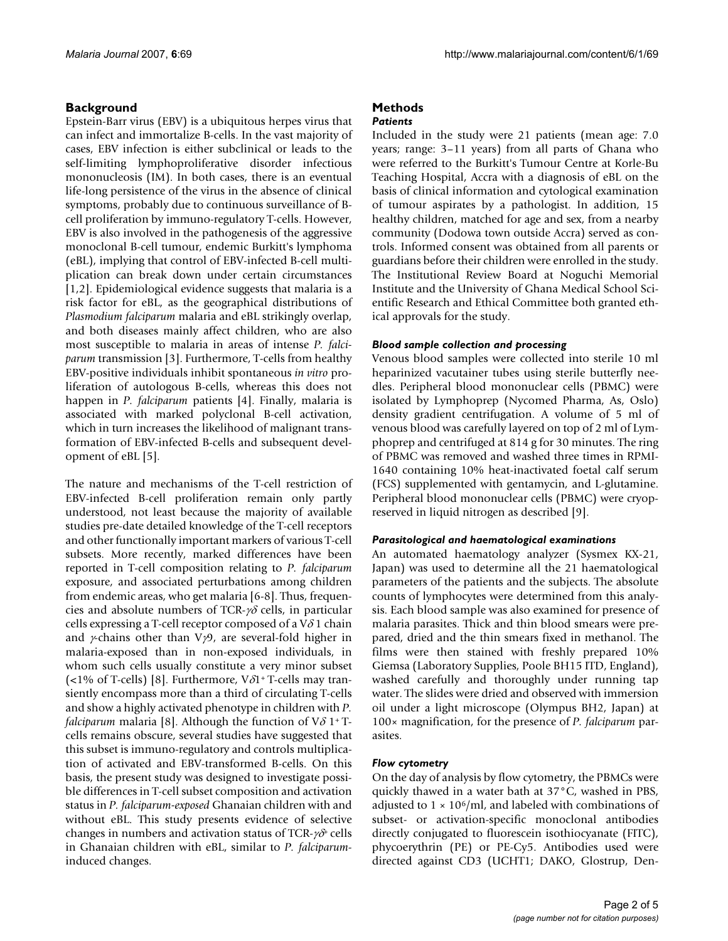### **Background**

Epstein-Barr virus (EBV) is a ubiquitous herpes virus that can infect and immortalize B-cells. In the vast majority of cases, EBV infection is either subclinical or leads to the self-limiting lymphoproliferative disorder infectious mononucleosis (IM). In both cases, there is an eventual life-long persistence of the virus in the absence of clinical symptoms, probably due to continuous surveillance of Bcell proliferation by immuno-regulatory T-cells. However, EBV is also involved in the pathogenesis of the aggressive monoclonal B-cell tumour, endemic Burkitt's lymphoma (eBL), implying that control of EBV-infected B-cell multiplication can break down under certain circumstances [1,2]. Epidemiological evidence suggests that malaria is a risk factor for eBL, as the geographical distributions of *Plasmodium falciparum* malaria and eBL strikingly overlap, and both diseases mainly affect children, who are also most susceptible to malaria in areas of intense *P. falciparum* transmission [3]. Furthermore, T-cells from healthy EBV-positive individuals inhibit spontaneous *in vitro* proliferation of autologous B-cells, whereas this does not happen in *P. falciparum* patients [4]. Finally, malaria is associated with marked polyclonal B-cell activation, which in turn increases the likelihood of malignant transformation of EBV-infected B-cells and subsequent development of eBL [5].

The nature and mechanisms of the T-cell restriction of EBV-infected B-cell proliferation remain only partly understood, not least because the majority of available studies pre-date detailed knowledge of the T-cell receptors and other functionally important markers of various T-cell subsets. More recently, marked differences have been reported in T-cell composition relating to *P. falciparum* exposure, and associated perturbations among children from endemic areas, who get malaria [6-8]. Thus, frequencies and absolute numbers of TCR- $\gamma\delta$  cells, in particular cells expressing a T-cell receptor composed of a  $V\delta$  1 chain and  $\gamma$ -chains other than V $\gamma$ 9, are several-fold higher in malaria-exposed than in non-exposed individuals, in whom such cells usually constitute a very minor subset (<1% of T-cells) [8]. Furthermore,  $V\delta1$ <sup>+</sup> T-cells may transiently encompass more than a third of circulating T-cells and show a highly activated phenotype in children with *P. falciparum* malaria [8]. Although the function of  $V\delta$  1+Tcells remains obscure, several studies have suggested that this subset is immuno-regulatory and controls multiplication of activated and EBV-transformed B-cells. On this basis, the present study was designed to investigate possible differences in T-cell subset composition and activation status in *P. falciparum-exposed* Ghanaian children with and without eBL. This study presents evidence of selective changes in numbers and activation status of TCR- $\gamma\delta^{\dagger}$  cells in Ghanaian children with eBL, similar to *P. falciparum*induced changes.

# **Methods**

#### *Patients*

Included in the study were 21 patients (mean age: 7.0 years; range: 3–11 years) from all parts of Ghana who were referred to the Burkitt's Tumour Centre at Korle-Bu Teaching Hospital, Accra with a diagnosis of eBL on the basis of clinical information and cytological examination of tumour aspirates by a pathologist. In addition, 15 healthy children, matched for age and sex, from a nearby community (Dodowa town outside Accra) served as controls. Informed consent was obtained from all parents or guardians before their children were enrolled in the study. The Institutional Review Board at Noguchi Memorial Institute and the University of Ghana Medical School Scientific Research and Ethical Committee both granted ethical approvals for the study.

#### *Blood sample collection and processing*

Venous blood samples were collected into sterile 10 ml heparinized vacutainer tubes using sterile butterfly needles. Peripheral blood mononuclear cells (PBMC) were isolated by Lymphoprep (Nycomed Pharma, As, Oslo) density gradient centrifugation. A volume of 5 ml of venous blood was carefully layered on top of 2 ml of Lymphoprep and centrifuged at 814 g for 30 minutes. The ring of PBMC was removed and washed three times in RPMI-1640 containing 10% heat-inactivated foetal calf serum (FCS) supplemented with gentamycin, and L-glutamine. Peripheral blood mononuclear cells (PBMC) were cryopreserved in liquid nitrogen as described [9].

#### *Parasitological and haematological examinations*

An automated haematology analyzer (Sysmex KX-21, Japan) was used to determine all the 21 haematological parameters of the patients and the subjects. The absolute counts of lymphocytes were determined from this analysis. Each blood sample was also examined for presence of malaria parasites. Thick and thin blood smears were prepared, dried and the thin smears fixed in methanol. The films were then stained with freshly prepared 10% Giemsa (Laboratory Supplies, Poole BH15 ITD, England), washed carefully and thoroughly under running tap water. The slides were dried and observed with immersion oil under a light microscope (Olympus BH2, Japan) at 100× magnification, for the presence of *P. falciparum* parasites.

#### *Flow cytometry*

On the day of analysis by flow cytometry, the PBMCs were quickly thawed in a water bath at 37°C, washed in PBS, adjusted to  $1 \times 10^6$ /ml, and labeled with combinations of subset- or activation-specific monoclonal antibodies directly conjugated to fluorescein isothiocyanate (FITC), phycoerythrin (PE) or PE-Cy5. Antibodies used were directed against CD3 (UCHT1; DAKO, Glostrup, Den-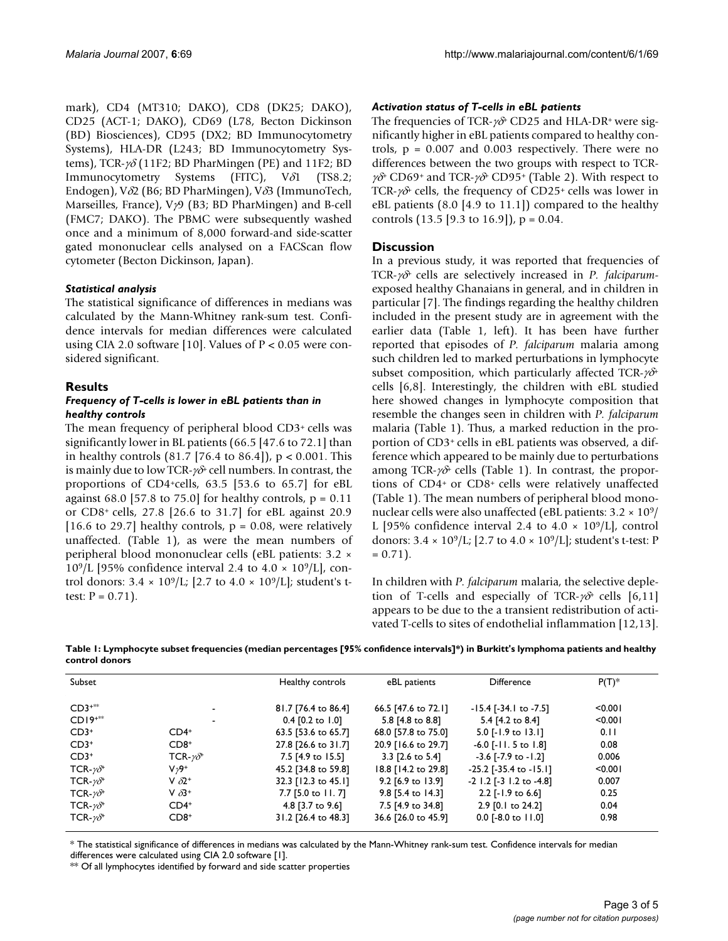mark), CD4 (MT310; DAKO), CD8 (DK25; DAKO), CD25 (ACT-1; DAKO), CD69 (L78, Becton Dickinson (BD) Biosciences), CD95 (DX2; BD Immunocytometry Systems), HLA-DR (L243; BD Immunocytometry Systems), TCR- $\gamma\delta$  (11F2; BD PharMingen (PE) and 11F2; BD Immunocytometry Systems (FITC), Vδ1 (TS8.2; Endogen), Vδ2 (B6; BD PharMingen), Vδ3 (ImmunoTech, Marseilles, France), Vγ9 (B3; BD PharMingen) and B-cell (FMC7; DAKO). The PBMC were subsequently washed once and a minimum of 8,000 forward-and side-scatter gated mononuclear cells analysed on a FACScan flow cytometer (Becton Dickinson, Japan).

#### *Statistical analysis*

The statistical significance of differences in medians was calculated by the Mann-Whitney rank-sum test. Confidence intervals for median differences were calculated using CIA 2.0 software [10]. Values of  $P < 0.05$  were considered significant.

#### **Results**

#### *Frequency of T-cells is lower in eBL patients than in healthy controls*

The mean frequency of peripheral blood CD3+ cells was significantly lower in BL patients (66.5 [47.6 to 72.1] than in healthy controls  $(81.7 \, [76.4 \, \text{to} \, 86.4])$ ,  $p < 0.001$ . This is mainly due to low TCR- $\gamma\delta$ <sup>+</sup> cell numbers. In contrast, the proportions of CD4+cells, 63.5 [53.6 to 65.7] for eBL against 68.0 [57.8 to 75.0] for healthy controls,  $p = 0.11$ or CD8+ cells, 27.8 [26.6 to 31.7] for eBL against 20.9 [16.6 to 29.7] healthy controls,  $p = 0.08$ , were relatively unaffected. (Table 1), as were the mean numbers of peripheral blood mononuclear cells (eBL patients: 3.2 ×  $10^9$ /L [95% confidence interval 2.4 to 4.0  $\times$  10<sup>9</sup>/L], control donors:  $3.4 \times 10^9$ /L; [2.7 to  $4.0 \times 10^9$ /L]; student's ttest:  $P = 0.71$ .

#### *Activation status of T-cells in eBL patients*

The frequencies of TCR- $\gamma\delta$ <sup>+</sup> CD25 and HLA-DR<sup>+</sup> were significantly higher in eBL patients compared to healthy controls,  $p = 0.007$  and 0.003 respectively. There were no differences between the two groups with respect to TCR $γδ$ <sup>+</sup> CD69<sup>+</sup> and TCR- $γδ$ <sup>+</sup> CD95<sup>+</sup> (Table 2). With respect to TCR- $\gamma\delta$ <sup>+</sup> cells, the frequency of CD25<sup>+</sup> cells was lower in eBL patients  $(8.0 \; [4.9 \; \text{to} \; 11.1])$  compared to the healthy controls  $(13.5 \, [9.3 \text{ to } 16.9])$ ,  $p = 0.04$ .

#### **Discussion**

In a previous study, it was reported that frequencies of TCR-γδ+ cells are selectively increased in *P. falciparum*exposed healthy Ghanaians in general, and in children in particular [7]. The findings regarding the healthy children included in the present study are in agreement with the earlier data (Table 1, left). It has been have further reported that episodes of *P. falciparum* malaria among such children led to marked perturbations in lymphocyte subset composition, which particularly affected TCR- $\gamma \delta^+$ cells [6,8]. Interestingly, the children with eBL studied here showed changes in lymphocyte composition that resemble the changes seen in children with *P. falciparum* malaria (Table 1). Thus, a marked reduction in the proportion of CD3+ cells in eBL patients was observed, a difference which appeared to be mainly due to perturbations among TCR- $\gamma\delta$  cells (Table 1). In contrast, the proportions of CD4+ or CD8+ cells were relatively unaffected (Table 1). The mean numbers of peripheral blood mononuclear cells were also unaffected (eBL patients:  $3.2 \times 10^{9}$ / L [95% confidence interval 2.4 to  $4.0 \times 10^9$ /L], control donors:  $3.4 \times 10^9$ /L; [2.7 to  $4.0 \times 10^9$ /L]; student's t-test: P  $= 0.71$ ).

In children with *P. falciparum* malaria, the selective depletion of T-cells and especially of TCR- $\gamma\delta^+$  cells [6,11] appears to be due to the a transient redistribution of activated T-cells to sites of endothelial inflammation [12,13].

**Table 1: Lymphocyte subset frequencies (median percentages [95% confidence intervals]\*) in Burkitt's lymphoma patients and healthy control donors**

| Subset                 |                           | Healthy controls    | eBL patients        | Difference                      | $P(T)^*$ |
|------------------------|---------------------------|---------------------|---------------------|---------------------------------|----------|
| $CD3***$               | $\overline{\phantom{a}}$  | 81.7 [76.4 to 86.4] | 66.5 [47.6 to 72.1] | $-15.4$ [-34.1 to -7.5]         | < 0.001  |
| $CDI9^{***}$           | $\overline{\phantom{a}}$  | $0.4$ [0.2 to 1.0]  | 5.8 [4.8 to 8.8]    | 5.4 [4.2 to 8.4]                | < 0.001  |
| $CD3+$                 | $CD4+$                    | 63.5 [53.6 to 65.7] | 68.0 [57.8 to 75.0] | $5.0$ [-1.9 to 13.1]            | 0.11     |
| $CD3+$                 | $CD8+$                    | 27.8 [26.6 to 31.7] | 20.9 [16.6 to 29.7] | $-6.0$ [-11.5 to 1.8]           | 0.08     |
| $CD3+$                 | TCR- $\nu \delta^*$       | 7.5 [4.9 to 15.5]   | 3.3 [2.6 to 5.4]    | $-3.6$ [ $-7.9$ to $-1.2$ ]     | 0.006    |
| TCR- $\gamma \delta^*$ | $V29+$                    | 45.2 [34.8 to 59.8] | 18.8 [14.2 to 29.8] | $-25.2$ [ $-35.4$ to $-15.1$ ]  | < 0.001  |
| TCR- $\gamma \delta^*$ | V $\delta$ 2 <sup>+</sup> | 32.3 [12.3 to 45.1] | 9.2 [6.9 to 13.9]   | $-2$ 1.2 [ $-3$ 1.2 to $-4.8$ ] | 0.007    |
| TCR- $\gamma \delta^*$ | V $\delta$ 3 <sup>+</sup> | 7.7 [5.0 to 11. 7]  | 9.8 [5.4 to 14.3]   | 2.2 [-1.9 to 6.6]               | 0.25     |
| TCR- $\gamma \delta^*$ | $CD4+$                    | 4.8 [3.7 to 9.6]    | 7.5 [4.9 to 34.8]   | 2.9 [0.1 to 24.2]               | 0.04     |
| TCR- $\gamma \delta^*$ | $CD8+$                    | 31.2 [26.4 to 48.3] | 36.6 [26.0 to 45.9] | $0.0$ [-8.0 to 11.0]            | 0.98     |

\* The statistical significance of differences in medians was calculated by the Mann-Whitney rank-sum test. Confidence intervals for median differences were calculated using CIA 2.0 software [1].

\*\* Of all lymphocytes identified by forward and side scatter properties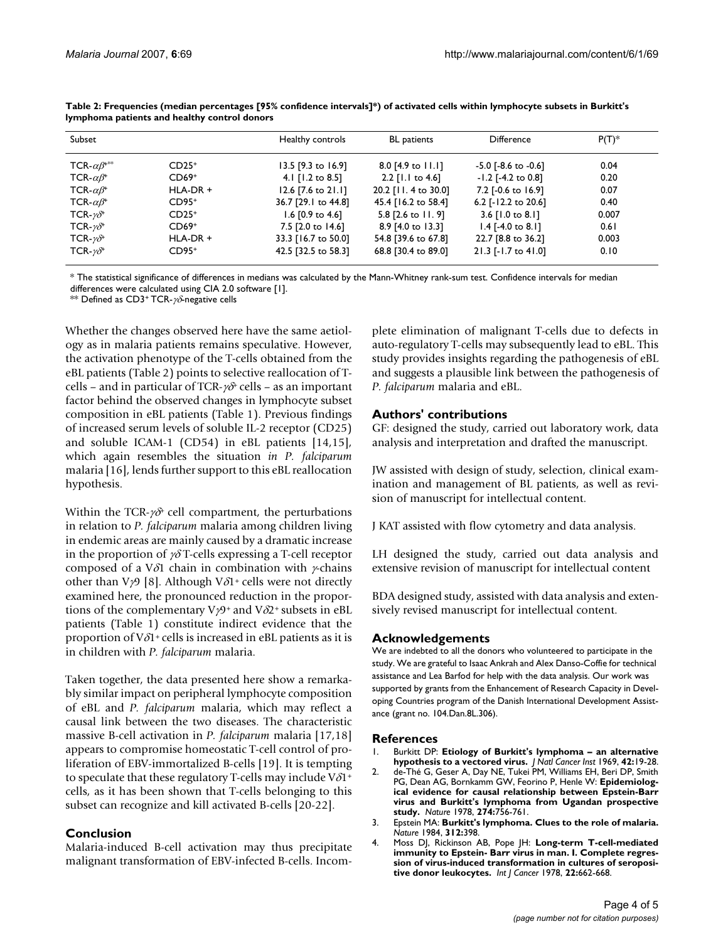| Subset                          |            | Healthy controls    | <b>BL</b> patients           | <b>Difference</b>           | $P(T)^*$ |
|---------------------------------|------------|---------------------|------------------------------|-----------------------------|----------|
| TCR- $\alpha\beta^{***}$        | $CD25+$    | 13.5 [9.3 to 16.9]  | $8.0$ [4.9 to 11.1]          | $-5.0$ [ $-8.6$ to $-0.6$ ] | 0.04     |
| TCR- $\alpha\beta$ <sup>+</sup> | $CD69+$    | 4.1 [1.2 to 8.5]    | $2.2$ [1.1 to 4.6]           | $-1.2$ [ $-4.2$ to 0.8]     | 0.20     |
| TCR- $\alpha\beta^*$            | $HLA-DR +$ | 12.6 [7.6 to 21.1]  | 20.2 [11. 4 to 30.0]         | 7.2 [-0.6 to 16.9]          | 0.07     |
| TCR- $\alpha\beta$ <sup>+</sup> | $CD95+$    | 36.7 [29.1 to 44.8] | 45.4 [16.2 to 58.4]          | 6.2 [-12.2 to 20.6]         | 0.40     |
| TCR- $\gamma \delta^*$          | $CD25+$    | 1.6 $[0.9$ to 4.6]  | 5.8 $[2.6 \text{ to } 11.9]$ | 3.6 $[1.0 \text{ to } 8.1]$ | 0.007    |
| TCR- $\gamma \delta^*$          | $CD69+$    | 7.5 [2.0 to 14.6]   | 8.9 [4.0 to 13.3]            | $1.4$ [-4.0 to 8.1]         | 0.61     |
| $TCR-\gamma\delta^+$            | $HLA-DR +$ | 33.3 [16.7 to 50.0] | 54.8 [39.6 to 67.8]          | 22.7 [8.8 to 36.2]          | 0.003    |
| TCR- $\gamma \delta^*$          | $CD95+$    | 42.5 [32.5 to 58.3] | 68.8 [30.4 to 89.0]          | 21.3 [-1.7 to 41.0]         | 0.10     |

**Table 2: Frequencies (median percentages [95% confidence intervals]\*) of activated cells within lymphocyte subsets in Burkitt's lymphoma patients and healthy control donors**

\* The statistical significance of differences in medians was calculated by the Mann-Whitney rank-sum test. Confidence intervals for median differences were calculated using CIA 2.0 software [1].

\*\* Defined as CD3+ TCR- $\gamma\delta$ -negative cells

Whether the changes observed here have the same aetiology as in malaria patients remains speculative. However, the activation phenotype of the T-cells obtained from the eBL patients (Table 2) points to selective reallocation of Tcells – and in particular of TCR- $\gamma\delta$ <sup>+</sup> cells – as an important factor behind the observed changes in lymphocyte subset composition in eBL patients (Table 1). Previous findings of increased serum levels of soluble IL-2 receptor (CD25) and soluble ICAM-1 (CD54) in eBL patients [14,15], which again resembles the situation *in P. falciparum* malaria [\[16](#page-4-0)], lends further support to this eBL reallocation hypothesis.

Within the TCR- $\gamma\delta^+$  cell compartment, the perturbations in relation to *P. falciparum* malaria among children living in endemic areas are mainly caused by a dramatic increase in the proportion of  $\gamma\delta$  T-cells expressing a T-cell receptor composed of a V $\delta$ 1 chain in combination with  $\gamma$ -chains other than V $\gamma$ 9 [8]. Although V $\delta$ 1<sup>+</sup> cells were not directly examined here, the pronounced reduction in the proportions of the complementary  $V\gamma9$ <sup>+</sup> and  $V\delta2$ <sup>+</sup> subsets in eBL patients (Table 1) constitute indirect evidence that the proportion of  $V\delta1$ <sup>+</sup> cells is increased in eBL patients as it is in children with *P. falciparum* malaria.

Taken together, the data presented here show a remarkably similar impact on peripheral lymphocyte composition of eBL and *P. falciparum* malaria, which may reflect a causal link between the two diseases. The characteristic massive B-cell activation in *P. falciparum* malaria [17,18] appears to compromise homeostatic T-cell control of proliferation of EBV-immortalized B-cells [19]. It is tempting to speculate that these regulatory T-cells may include  $V\delta1+$ cells, as it has been shown that T-cells belonging to this subset can recognize and kill activated B-cells [\[20](#page-4-1)[-22\]](#page-4-2).

#### **Conclusion**

Malaria-induced B-cell activation may thus precipitate malignant transformation of EBV-infected B-cells. Incomplete elimination of malignant T-cells due to defects in auto-regulatory T-cells may subsequently lead to eBL. This study provides insights regarding the pathogenesis of eBL and suggests a plausible link between the pathogenesis of *P. falciparum* malaria and eBL.

#### **Authors' contributions**

GF: designed the study, carried out laboratory work, data analysis and interpretation and drafted the manuscript.

JW assisted with design of study, selection, clinical examination and management of BL patients, as well as revision of manuscript for intellectual content.

J KAT assisted with flow cytometry and data analysis.

LH designed the study, carried out data analysis and extensive revision of manuscript for intellectual content

BDA designed study, assisted with data analysis and extensively revised manuscript for intellectual content.

#### **Acknowledgements**

We are indebted to all the donors who volunteered to participate in the study. We are grateful to Isaac Ankrah and Alex Danso-Coffie for technical assistance and Lea Barfod for help with the data analysis. Our work was supported by grants from the Enhancement of Research Capacity in Developing Countries program of the Danish International Development Assistance (grant no. 104.Dan.8L.306).

#### **References**

- 1. Burkitt DP: **[Etiology of Burkitt's lymphoma an alternative](http://www.ncbi.nlm.nih.gov/entrez/query.fcgi?cmd=Retrieve&db=PubMed&dopt=Abstract&list_uids=4303830) [hypothesis to a vectored virus.](http://www.ncbi.nlm.nih.gov/entrez/query.fcgi?cmd=Retrieve&db=PubMed&dopt=Abstract&list_uids=4303830)** *J Natl Cancer Inst* 1969, **42:**19-28.
- 2. de-Thé G, Geser A, Day NE, Tukei PM, Williams EH, Beri DP, Smith PG, Dean AG, Bornkamm GW, Feorino P, Henle W: **[Epidemiolog](http://www.ncbi.nlm.nih.gov/entrez/query.fcgi?cmd=Retrieve&db=PubMed&dopt=Abstract&list_uids=210392)[ical evidence for causal relationship between Epstein-Barr](http://www.ncbi.nlm.nih.gov/entrez/query.fcgi?cmd=Retrieve&db=PubMed&dopt=Abstract&list_uids=210392) virus and Burkitt's lymphoma from Ugandan prospective [study.](http://www.ncbi.nlm.nih.gov/entrez/query.fcgi?cmd=Retrieve&db=PubMed&dopt=Abstract&list_uids=210392)** *Nature* 1978, **274:**756-761.
- 3. Epstein MA: **[Burkitt's lymphoma. Clues to the role of malaria.](http://www.ncbi.nlm.nih.gov/entrez/query.fcgi?cmd=Retrieve&db=PubMed&dopt=Abstract&list_uids=6095098)** *Nature* 1984, **312:**398.
- 4. Moss DJ, Rickinson AB, Pope JH: **[Long-term T-cell-mediated](http://www.ncbi.nlm.nih.gov/entrez/query.fcgi?cmd=Retrieve&db=PubMed&dopt=Abstract&list_uids=214405) [immunity to Epstein- Barr virus in man. I. Complete regres](http://www.ncbi.nlm.nih.gov/entrez/query.fcgi?cmd=Retrieve&db=PubMed&dopt=Abstract&list_uids=214405)sion of virus-induced transformation in cultures of seroposi[tive donor leukocytes.](http://www.ncbi.nlm.nih.gov/entrez/query.fcgi?cmd=Retrieve&db=PubMed&dopt=Abstract&list_uids=214405)** *Int J Cancer* 1978, **22:**662-668.